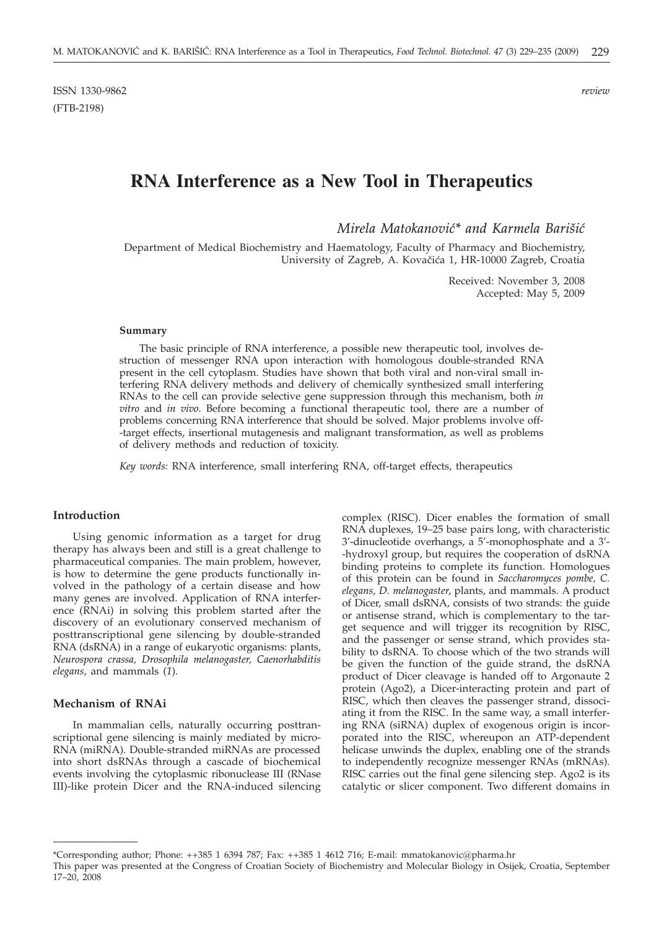# **RNA Interference as a New Tool in Therapeutics**

*Mirela Matokanović\* and Karmela Barišić* 

Department of Medical Biochemistry and Haematology, Faculty of Pharmacy and Biochemistry, University of Zagreb, A. Kovačića 1, HR-10000 Zagreb, Croatia

> Received: November 3, 2008 Accepted: May 5, 2009

#### **Summary**

The basic principle of RNA interference, a possible new therapeutic tool, involves destruction of messenger RNA upon interaction with homologous double-stranded RNA present in the cell cytoplasm. Studies have shown that both viral and non-viral small interfering RNA delivery methods and delivery of chemically synthesized small interfering RNAs to the cell can provide selective gene suppression through this mechanism, both *in vitro* and *in vivo*. Before becoming a functional therapeutic tool, there are a number of problems concerning RNA interference that should be solved. Major problems involve off- -target effects, insertional mutagenesis and malignant transformation, as well as problems of delivery methods and reduction of toxicity.

*Key words:* RNA interference, small interfering RNA, off-target effects, therapeutics

## **Introduction**

Using genomic information as a target for drug therapy has always been and still is a great challenge to pharmaceutical companies. The main problem, however, is how to determine the gene products functionally involved in the pathology of a certain disease and how many genes are involved. Application of RNA interference (RNAi) in solving this problem started after the discovery of an evolutionary conserved mechanism of posttranscriptional gene silencing by double-stranded RNA (dsRNA) in a range of eukaryotic organisms: plants, *Neurospora crassa, Drosophila melanogaster, Caenorhabditis elegans*, and mammals (*1*).

## **Mechanism of RNAi**

In mammalian cells, naturally occurring posttranscriptional gene silencing is mainly mediated by micro-RNA (miRNA). Double-stranded miRNAs are processed into short dsRNAs through a cascade of biochemical events involving the cytoplasmic ribonuclease III (RNase III)-like protein Dicer and the RNA-induced silencing

complex (RISC). Dicer enables the formation of small RNA duplexes, 19–25 base pairs long, with characteristic 3'-dinucleotide overhangs, a 5'-monophosphate and a 3'- -hydroxyl group, but requires the cooperation of dsRNA binding proteins to complete its function. Homologues of this protein can be found in *Saccharomyces pombe, C. elegans, D. melanogaster*, plants, and mammals. A product of Dicer, small dsRNA, consists of two strands: the guide or antisense strand, which is complementary to the target sequence and will trigger its recognition by RISC, and the passenger or sense strand, which provides stability to dsRNA. To choose which of the two strands will be given the function of the guide strand, the dsRNA product of Dicer cleavage is handed off to Argonaute 2 protein (Ago2), a Dicer-interacting protein and part of RISC, which then cleaves the passenger strand, dissociating it from the RISC. In the same way, a small interfering RNA (siRNA) duplex of exogenous origin is incorporated into the RISC, whereupon an ATP-dependent helicase unwinds the duplex, enabling one of the strands to independently recognize messenger RNAs (mRNAs). RISC carries out the final gene silencing step. Ago2 is its catalytic or slicer component. Two different domains in

<sup>\*</sup>Corresponding author; Phone: ++385 1 6394 787; Fax: ++385 1 4612 716; E-mail: mmatokanovic@pharma.hr

This paper was presented at the Congress of Croatian Society of Biochemistry and Molecular Biology in Osijek, Croatia, September 17–20, 2008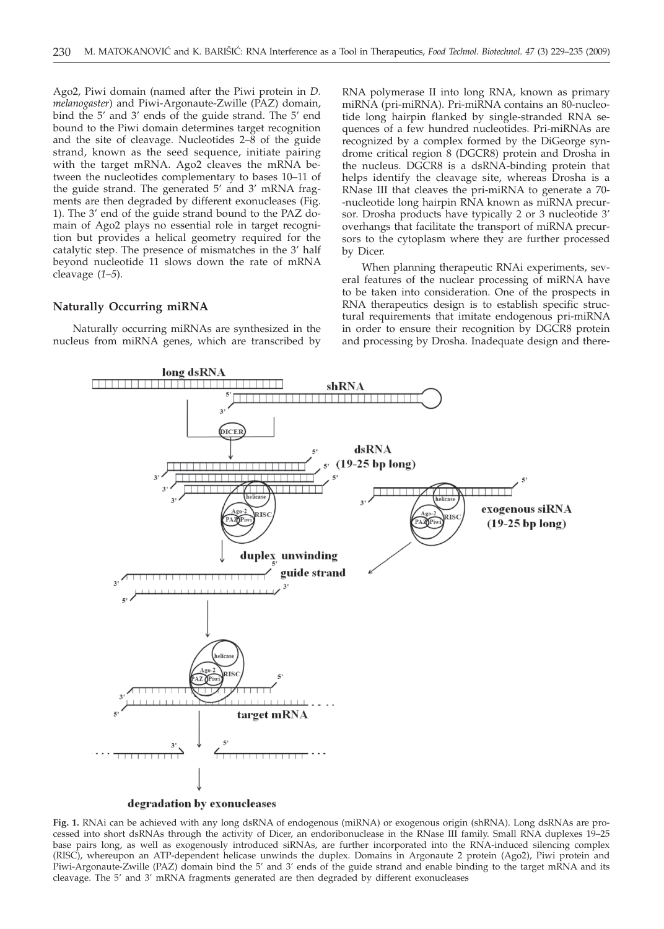Ago2, Piwi domain (named after the Piwi protein in *D. melanogaster*) and Piwi-Argonaute-Zwille (PAZ) domain, bind the 5' and 3' ends of the guide strand. The 5' end bound to the Piwi domain determines target recognition and the site of cleavage. Nucleotides 2–8 of the guide strand, known as the seed sequence, initiate pairing with the target mRNA. Ago2 cleaves the mRNA between the nucleotides complementary to bases 10–11 of the guide strand. The generated 5' and 3' mRNA fragments are then degraded by different exonucleases (Fig. 1). The 3' end of the guide strand bound to the PAZ domain of Ago2 plays no essential role in target recognition but provides a helical geometry required for the catalytic step. The presence of mismatches in the 3' half beyond nucleotide 11 slows down the rate of mRNA cleavage (*1–5*).

#### **Naturally Occurring miRNA**

Naturally occurring miRNAs are synthesized in the nucleus from miRNA genes, which are transcribed by

RNA polymerase II into long RNA, known as primary miRNA (pri-miRNA). Pri-miRNA contains an 80-nucleotide long hairpin flanked by single-stranded RNA sequences of a few hundred nucleotides. Pri-miRNAs are recognized by a complex formed by the DiGeorge syndrome critical region 8 (DGCR8) protein and Drosha in the nucleus. DGCR8 is a dsRNA-binding protein that helps identify the cleavage site, whereas Drosha is a RNase III that cleaves the pri-miRNA to generate a 70- -nucleotide long hairpin RNA known as miRNA precursor. Drosha products have typically 2 or 3 nucleotide 3' overhangs that facilitate the transport of miRNA precursors to the cytoplasm where they are further processed by Dicer.

When planning therapeutic RNAi experiments, several features of the nuclear processing of miRNA have to be taken into consideration. One of the prospects in RNA therapeutics design is to establish specific structural requirements that imitate endogenous pri-miRNA in order to ensure their recognition by DGCR8 protein and processing by Drosha. Inadequate design and there-



**Fig. 1.** RNAi can be achieved with any long dsRNA of endogenous (miRNA) or exogenous origin (shRNA). Long dsRNAs are processed into short dsRNAs through the activity of Dicer, an endoribonuclease in the RNase III family. Small RNA duplexes 19–25 base pairs long, as well as exogenously introduced siRNAs, are further incorporated into the RNA-induced silencing complex (RISC), whereupon an ATP-dependent helicase unwinds the duplex. Domains in Argonaute 2 protein (Ago2), Piwi protein and Piwi-Argonaute-Zwille (PAZ) domain bind the 5' and 3' ends of the guide strand and enable binding to the target mRNA and its cleavage. The 5' and 3' mRNA fragments generated are then degraded by different exonucleases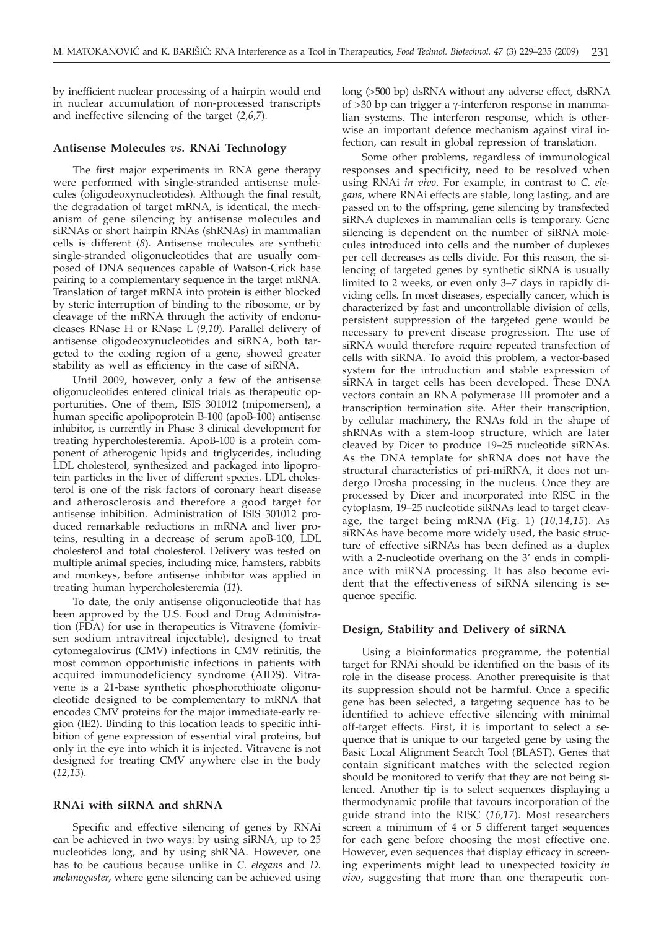by inefficient nuclear processing of a hairpin would end in nuclear accumulation of non-processed transcripts and ineffective silencing of the target (*2,6,7*).

#### **Antisense Molecules** *vs.* **RNAi Technology**

The first major experiments in RNA gene therapy were performed with single-stranded antisense molecules (oligodeoxynucleotides). Although the final result, the degradation of target mRNA, is identical, the mechanism of gene silencing by antisense molecules and siRNAs or short hairpin RNAs (shRNAs) in mammalian cells is different (*8*). Antisense molecules are synthetic single-stranded oligonucleotides that are usually composed of DNA sequences capable of Watson-Crick base pairing to a complementary sequence in the target mRNA. Translation of target mRNA into protein is either blocked by steric interruption of binding to the ribosome, or by cleavage of the mRNA through the activity of endonucleases RNase H or RNase L (*9,10*). Parallel delivery of antisense oligodeoxynucleotides and siRNA, both targeted to the coding region of a gene, showed greater stability as well as efficiency in the case of siRNA.

Until 2009, however, only a few of the antisense oligonucleotides entered clinical trials as therapeutic opportunities. One of them, ISIS 301012 (mipomersen), a human specific apolipoprotein B-100 (apoB-100) antisense inhibitor, is currently in Phase 3 clinical development for treating hypercholesteremia. ApoB-100 is a protein component of atherogenic lipids and triglycerides, including LDL cholesterol, synthesized and packaged into lipoprotein particles in the liver of different species. LDL cholesterol is one of the risk factors of coronary heart disease and atherosclerosis and therefore a good target for antisense inhibition. Administration of ISIS 301012 produced remarkable reductions in mRNA and liver proteins, resulting in a decrease of serum apoB-100, LDL cholesterol and total cholesterol. Delivery was tested on multiple animal species, including mice, hamsters, rabbits and monkeys, before antisense inhibitor was applied in treating human hypercholesteremia (*11*).

To date, the only antisense oligonucleotide that has been approved by the U.S. Food and Drug Administration (FDA) for use in therapeutics is Vitravene (fomivirsen sodium intravitreal injectable), designed to treat cytomegalovirus (CMV) infections in CMV retinitis, the most common opportunistic infections in patients with acquired immunodeficiency syndrome (AIDS). Vitravene is a 21-base synthetic phosphorothioate oligonucleotide designed to be complementary to mRNA that encodes CMV proteins for the major immediate-early region (IE2). Binding to this location leads to specific inhibition of gene expression of essential viral proteins, but only in the eye into which it is injected. Vitravene is not designed for treating CMV anywhere else in the body (*12,13*).

#### **RNAi with siRNA and shRNA**

Specific and effective silencing of genes by RNAi can be achieved in two ways: by using siRNA, up to 25 nucleotides long, and by using shRNA. However, one has to be cautious because unlike in *C. elegans* and *D. melanogaster*, where gene silencing can be achieved using

long (>500 bp) dsRNA without any adverse effect, dsRNA of  $>30$  bp can trigger a y-interferon response in mammalian systems. The interferon response, which is otherwise an important defence mechanism against viral infection, can result in global repression of translation.

Some other problems, regardless of immunological responses and specificity, need to be resolved when using RNAi *in vivo*. For example, in contrast to *C. elegans*, where RNAi effects are stable, long lasting, and are passed on to the offspring, gene silencing by transfected siRNA duplexes in mammalian cells is temporary. Gene silencing is dependent on the number of siRNA molecules introduced into cells and the number of duplexes per cell decreases as cells divide. For this reason, the silencing of targeted genes by synthetic siRNA is usually limited to 2 weeks, or even only 3–7 days in rapidly dividing cells. In most diseases, especially cancer, which is characterized by fast and uncontrollable division of cells, persistent suppression of the targeted gene would be necessary to prevent disease progression. The use of siRNA would therefore require repeated transfection of cells with siRNA. To avoid this problem, a vector-based system for the introduction and stable expression of siRNA in target cells has been developed. These DNA vectors contain an RNA polymerase III promoter and a transcription termination site. After their transcription, by cellular machinery, the RNAs fold in the shape of shRNAs with a stem-loop structure, which are later cleaved by Dicer to produce 19–25 nucleotide siRNAs. As the DNA template for shRNA does not have the structural characteristics of pri-miRNA, it does not undergo Drosha processing in the nucleus. Once they are processed by Dicer and incorporated into RISC in the cytoplasm, 19–25 nucleotide siRNAs lead to target cleavage, the target being mRNA (Fig. 1) (*10,14,15*). As siRNAs have become more widely used, the basic structure of effective siRNAs has been defined as a duplex with a 2-nucleotide overhang on the 3' ends in compliance with miRNA processing. It has also become evident that the effectiveness of siRNA silencing is sequence specific.

#### **Design, Stability and Delivery of siRNA**

Using a bioinformatics programme, the potential target for RNAi should be identified on the basis of its role in the disease process. Another prerequisite is that its suppression should not be harmful. Once a specific gene has been selected, a targeting sequence has to be identified to achieve effective silencing with minimal off-target effects. First, it is important to select a sequence that is unique to our targeted gene by using the Basic Local Alignment Search Tool (BLAST). Genes that contain significant matches with the selected region should be monitored to verify that they are not being silenced. Another tip is to select sequences displaying a thermodynamic profile that favours incorporation of the guide strand into the RISC (*16,17*). Most researchers screen a minimum of 4 or 5 different target sequences for each gene before choosing the most effective one. However, even sequences that display efficacy in screening experiments might lead to unexpected toxicity *in vivo*, suggesting that more than one therapeutic con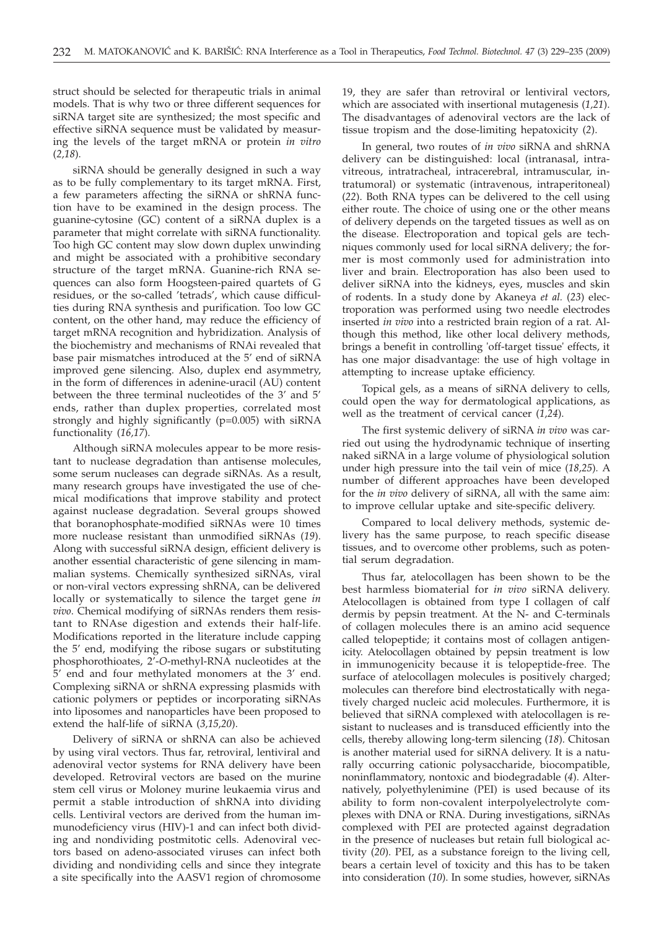struct should be selected for therapeutic trials in animal models. That is why two or three different sequences for siRNA target site are synthesized; the most specific and effective siRNA sequence must be validated by measuring the levels of the target mRNA or protein *in vitro* (*2,18*).

siRNA should be generally designed in such a way as to be fully complementary to its target mRNA. First, a few parameters affecting the siRNA or shRNA function have to be examined in the design process. The guanine-cytosine (GC) content of a siRNA duplex is a parameter that might correlate with siRNA functionality. Too high GC content may slow down duplex unwinding and might be associated with a prohibitive secondary structure of the target mRNA. Guanine-rich RNA sequences can also form Hoogsteen-paired quartets of G residues, or the so-called 'tetrads', which cause difficulties during RNA synthesis and purification. Too low GC content, on the other hand, may reduce the efficiency of target mRNA recognition and hybridization. Analysis of the biochemistry and mechanisms of RNAi revealed that base pair mismatches introduced at the 5' end of siRNA improved gene silencing. Also, duplex end asymmetry, in the form of differences in adenine-uracil (AU) content between the three terminal nucleotides of the 3' and 5' ends, rather than duplex properties, correlated most strongly and highly significantly (p=0.005) with siRNA functionality (*16,17*).

Although siRNA molecules appear to be more resistant to nuclease degradation than antisense molecules, some serum nucleases can degrade siRNAs. As a result, many research groups have investigated the use of chemical modifications that improve stability and protect against nuclease degradation. Several groups showed that boranophosphate-modified siRNAs were 10 times more nuclease resistant than unmodified siRNAs (*19*). Along with successful siRNA design, efficient delivery is another essential characteristic of gene silencing in mammalian systems. Chemically synthesized siRNAs, viral or non-viral vectors expressing shRNA, can be delivered locally or systematically to silence the target gene *in vivo*. Chemical modifying of siRNAs renders them resistant to RNAse digestion and extends their half-life. Modifications reported in the literature include capping the 5' end, modifying the ribose sugars or substituting phosphorothioates, 2'-*O*-methyl-RNA nucleotides at the 5' end and four methylated monomers at the 3' end. Complexing siRNA or shRNA expressing plasmids with cationic polymers or peptides or incorporating siRNAs into liposomes and nanoparticles have been proposed to extend the half-life of siRNA (*3,15,20*).

Delivery of siRNA or shRNA can also be achieved by using viral vectors. Thus far, retroviral, lentiviral and adenoviral vector systems for RNA delivery have been developed. Retroviral vectors are based on the murine stem cell virus or Moloney murine leukaemia virus and permit a stable introduction of shRNA into dividing cells. Lentiviral vectors are derived from the human immunodeficiency virus (HIV)-1 and can infect both dividing and nondividing postmitotic cells. Adenoviral vectors based on adeno-associated viruses can infect both dividing and nondividing cells and since they integrate a site specifically into the AASV1 region of chromosome

19, they are safer than retroviral or lentiviral vectors, which are associated with insertional mutagenesis (*1,21*). The disadvantages of adenoviral vectors are the lack of tissue tropism and the dose-limiting hepatoxicity (*2*).

In general, two routes of *in vivo* siRNA and shRNA delivery can be distinguished: local (intranasal, intravitreous, intratracheal, intracerebral, intramuscular, intratumoral) or systematic (intravenous, intraperitoneal) (*22*). Both RNA types can be delivered to the cell using either route. The choice of using one or the other means of delivery depends on the targeted tissues as well as on the disease. Electroporation and topical gels are techniques commonly used for local siRNA delivery; the former is most commonly used for administration into liver and brain. Electroporation has also been used to deliver siRNA into the kidneys, eyes, muscles and skin of rodents. In a study done by Akaneya *et al.* (*23*) electroporation was performed using two needle electrodes inserted *in vivo* into a restricted brain region of a rat. Although this method, like other local delivery methods, brings a benefit in controlling 'off-target tissue' effects, it has one major disadvantage: the use of high voltage in attempting to increase uptake efficiency.

Topical gels, as a means of siRNA delivery to cells, could open the way for dermatological applications, as well as the treatment of cervical cancer (*1,24*).

The first systemic delivery of siRNA *in vivo* was carried out using the hydrodynamic technique of inserting naked siRNA in a large volume of physiological solution under high pressure into the tail vein of mice (*18,25*)*.* A number of different approaches have been developed for the *in vivo* delivery of siRNA, all with the same aim: to improve cellular uptake and site-specific delivery.

Compared to local delivery methods, systemic delivery has the same purpose, to reach specific disease tissues, and to overcome other problems, such as potential serum degradation.

Thus far, atelocollagen has been shown to be the best harmless biomaterial for *in vivo* siRNA delivery. Atelocollagen is obtained from type I collagen of calf dermis by pepsin treatment. At the N- and C-terminals of collagen molecules there is an amino acid sequence called telopeptide; it contains most of collagen antigenicity. Atelocollagen obtained by pepsin treatment is low in immunogenicity because it is telopeptide-free. The surface of atelocollagen molecules is positively charged; molecules can therefore bind electrostatically with negatively charged nucleic acid molecules. Furthermore, it is believed that siRNA complexed with atelocollagen is resistant to nucleases and is transduced efficiently into the cells, thereby allowing long-term silencing (*18*). Chitosan is another material used for siRNA delivery. It is a naturally occurring cationic polysaccharide, biocompatible, noninflammatory, nontoxic and biodegradable (*4*). Alternatively, polyethylenimine (PEI) is used because of its ability to form non-covalent interpolyelectrolyte complexes with DNA or RNA. During investigations, siRNAs complexed with PEI are protected against degradation in the presence of nucleases but retain full biological activity (*20*). PEI, as a substance foreign to the living cell, bears a certain level of toxicity and this has to be taken into consideration (*10*). In some studies, however, siRNAs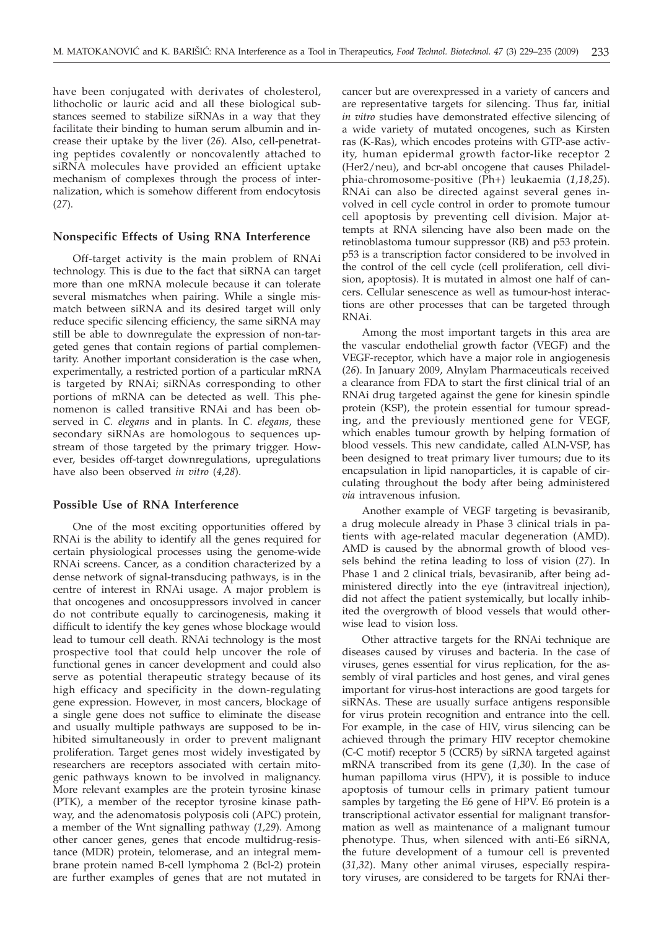have been conjugated with derivates of cholesterol, lithocholic or lauric acid and all these biological substances seemed to stabilize siRNAs in a way that they facilitate their binding to human serum albumin and increase their uptake by the liver (*26*). Also, cell-penetrating peptides covalently or noncovalently attached to siRNA molecules have provided an efficient uptake mechanism of complexes through the process of internalization, which is somehow different from endocytosis (*27*).

# **Nonspecific Effects of Using RNA Interference**

Off-target activity is the main problem of RNAi technology. This is due to the fact that siRNA can target more than one mRNA molecule because it can tolerate several mismatches when pairing. While a single mismatch between siRNA and its desired target will only reduce specific silencing efficiency, the same siRNA may still be able to downregulate the expression of non-targeted genes that contain regions of partial complementarity. Another important consideration is the case when, experimentally, a restricted portion of a particular mRNA is targeted by RNAi; siRNAs corresponding to other portions of mRNA can be detected as well. This phenomenon is called transitive RNAi and has been observed in *C. elegans* and in plants. In *C. elegans*, these secondary siRNAs are homologous to sequences upstream of those targeted by the primary trigger. However, besides off-target downregulations, upregulations have also been observed *in vitro* (*4,28*).

## **Possible Use of RNA Interference**

One of the most exciting opportunities offered by RNAi is the ability to identify all the genes required for certain physiological processes using the genome-wide RNAi screens. Cancer, as a condition characterized by a dense network of signal-transducing pathways, is in the centre of interest in RNAi usage. A major problem is that oncogenes and oncosuppressors involved in cancer do not contribute equally to carcinogenesis, making it difficult to identify the key genes whose blockage would lead to tumour cell death. RNAi technology is the most prospective tool that could help uncover the role of functional genes in cancer development and could also serve as potential therapeutic strategy because of its high efficacy and specificity in the down-regulating gene expression. However, in most cancers, blockage of a single gene does not suffice to eliminate the disease and usually multiple pathways are supposed to be inhibited simultaneously in order to prevent malignant proliferation. Target genes most widely investigated by researchers are receptors associated with certain mitogenic pathways known to be involved in malignancy. More relevant examples are the protein tyrosine kinase (PTK), a member of the receptor tyrosine kinase pathway, and the adenomatosis polyposis coli (APC) protein, a member of the Wnt signalling pathway (*1,29*). Among other cancer genes, genes that encode multidrug-resistance (MDR) protein, telomerase, and an integral membrane protein named B-cell lymphoma 2 (Bcl-2) protein are further examples of genes that are not mutated in

cancer but are overexpressed in a variety of cancers and are representative targets for silencing. Thus far, initial *in vitro* studies have demonstrated effective silencing of a wide variety of mutated oncogenes, such as Kirsten ras (K-Ras), which encodes proteins with GTP-ase activity, human epidermal growth factor-like receptor 2 (Her2/neu), and bcr-abl oncogene that causes Philadelphia-chromosome-positive (Ph+) leukaemia (*1,18,25*). RNAi can also be directed against several genes involved in cell cycle control in order to promote tumour cell apoptosis by preventing cell division. Major attempts at RNA silencing have also been made on the retinoblastoma tumour suppressor (RB) and p53 protein. p53 is a transcription factor considered to be involved in the control of the cell cycle (cell proliferation, cell division, apoptosis). It is mutated in almost one half of cancers. Cellular senescence as well as tumour-host interactions are other processes that can be targeted through RNAi.

Among the most important targets in this area are the vascular endothelial growth factor (VEGF) and the VEGF-receptor, which have a major role in angiogenesis (*26*). In January 2009, Alnylam Pharmaceuticals received a clearance from FDA to start the first clinical trial of an RNAi drug targeted against the gene for kinesin spindle protein (KSP), the protein essential for tumour spreading, and the previously mentioned gene for VEGF, which enables tumour growth by helping formation of blood vessels. This new candidate, called ALN-VSP, has been designed to treat primary liver tumours; due to its encapsulation in lipid nanoparticles, it is capable of circulating throughout the body after being administered *via* intravenous infusion.

Another example of VEGF targeting is bevasiranib, a drug molecule already in Phase 3 clinical trials in patients with age-related macular degeneration (AMD). AMD is caused by the abnormal growth of blood vessels behind the retina leading to loss of vision (*27*). In Phase 1 and 2 clinical trials, bevasiranib, after being administered directly into the eye (intravitreal injection), did not affect the patient systemically, but locally inhibited the overgrowth of blood vessels that would otherwise lead to vision loss.

Other attractive targets for the RNAi technique are diseases caused by viruses and bacteria. In the case of viruses, genes essential for virus replication, for the assembly of viral particles and host genes, and viral genes important for virus-host interactions are good targets for siRNAs. These are usually surface antigens responsible for virus protein recognition and entrance into the cell. For example, in the case of HIV, virus silencing can be achieved through the primary HIV receptor chemokine (C-C motif) receptor 5 (CCR5) by siRNA targeted against mRNA transcribed from its gene (*1,30*). In the case of human papilloma virus (HPV), it is possible to induce apoptosis of tumour cells in primary patient tumour samples by targeting the E6 gene of HPV. E6 protein is a transcriptional activator essential for malignant transformation as well as maintenance of a malignant tumour phenotype. Thus, when silenced with anti-E6 siRNA, the future development of a tumour cell is prevented (*31,32*). Many other animal viruses, especially respiratory viruses, are considered to be targets for RNAi ther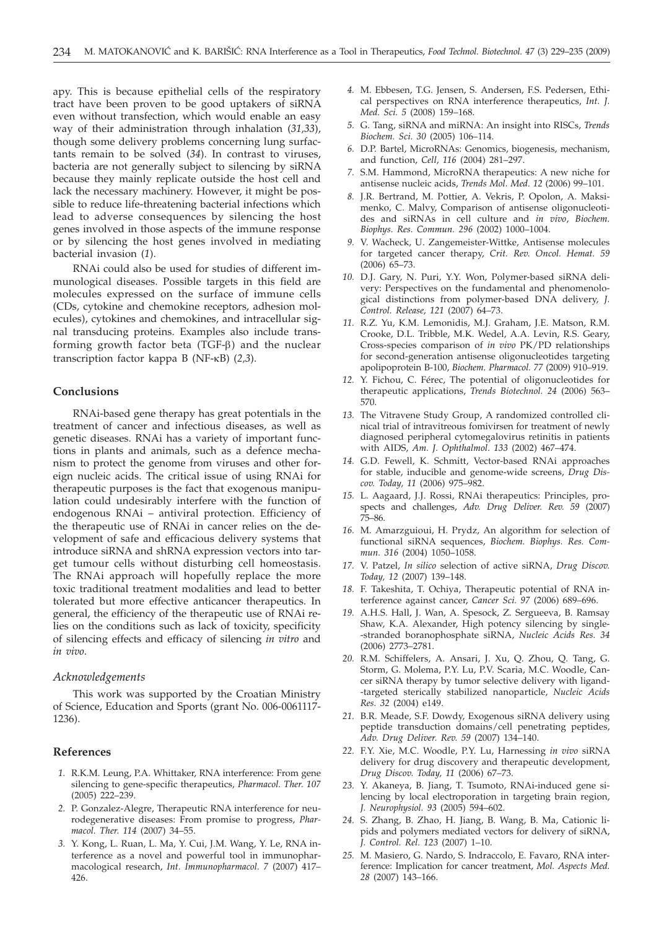apy. This is because epithelial cells of the respiratory tract have been proven to be good uptakers of siRNA even without transfection, which would enable an easy way of their administration through inhalation (*31,33*), though some delivery problems concerning lung surfactants remain to be solved (*34*). In contrast to viruses, bacteria are not generally subject to silencing by siRNA because they mainly replicate outside the host cell and lack the necessary machinery. However, it might be possible to reduce life-threatening bacterial infections which lead to adverse consequences by silencing the host genes involved in those aspects of the immune response or by silencing the host genes involved in mediating bacterial invasion (*1*).

RNAi could also be used for studies of different immunological diseases. Possible targets in this field are molecules expressed on the surface of immune cells (CDs, cytokine and chemokine receptors, adhesion molecules), cytokines and chemokines, and intracellular signal transducing proteins. Examples also include transforming growth factor beta  $(TGF- $\beta$ )$  and the nuclear transcription factor kappa B (NF-kB) (*2,3*).

## **Conclusions**

RNAi-based gene therapy has great potentials in the treatment of cancer and infectious diseases, as well as genetic diseases. RNAi has a variety of important functions in plants and animals, such as a defence mechanism to protect the genome from viruses and other foreign nucleic acids. The critical issue of using RNAi for therapeutic purposes is the fact that exogenous manipulation could undesirably interfere with the function of endogenous RNAi – antiviral protection. Efficiency of the therapeutic use of RNAi in cancer relies on the development of safe and efficacious delivery systems that introduce siRNA and shRNA expression vectors into target tumour cells without disturbing cell homeostasis. The RNAi approach will hopefully replace the more toxic traditional treatment modalities and lead to better tolerated but more effective anticancer therapeutics. In general, the efficiency of the therapeutic use of RNAi relies on the conditions such as lack of toxicity, specificity of silencing effects and efficacy of silencing *in vitro* and *in vivo*.

## *Acknowledgements*

This work was supported by the Croatian Ministry of Science, Education and Sports (grant No. 006-0061117- 1236).

#### **References**

- *1.* R.K.M. Leung, P.A. Whittaker, RNA interference: From gene silencing to gene-specific therapeutics, *Pharmacol. Ther. 107* (2005) 222–239.
- *2.* P. Gonzalez-Alegre, Therapeutic RNA interference for neurodegenerative diseases: From promise to progress, *Pharmacol. Ther. 114* (2007) 34–55.
- *3.* Y. Kong, L. Ruan, L. Ma, Y. Cui, J.M. Wang, Y. Le, RNA interference as a novel and powerful tool in immunopharmacological research, *Int. Immunopharmacol. 7* (2007) 417– 426.
- *4.* M. Ebbesen, T.G. Jensen, S. Andersen, F.S. Pedersen, Ethical perspectives on RNA interference therapeutics, *Int. J. Med. Sci. 5* (2008) 159–168.
- *5.* G. Tang, siRNA and miRNA: An insight into RISCs, *Trends Biochem. Sci. 30* (2005) 106–114.
- *6.* D.P. Bartel, MicroRNAs: Genomics, biogenesis, mechanism, and function, *Cell, 116* (2004) 281–297.
- *7.* S.M. Hammond, MicroRNA therapeutics: A new niche for antisense nucleic acids, *Trends Mol. Med. 12* (2006) 99–101.
- *8.* J.R. Bertrand, M. Pottier, A. Vekris, P. Opolon, A. Maksimenko, C. Malvy, Comparison of antisense oligonucleotides and siRNAs in cell culture and *in vivo*, *Biochem. Biophys. Res. Commun. 296* (2002) 1000–1004.
- *9.* V. Wacheck, U. Zangemeister-Wittke, Antisense molecules for targeted cancer therapy, *Crit. Rev. Oncol. Hemat. 59* (2006) 65–73.
- *10.* D.J. Gary, N. Puri, Y.Y. Won, Polymer-based siRNA delivery: Perspectives on the fundamental and phenomenological distinctions from polymer-based DNA delivery, *J. Control. Release, 121* (2007) 64–73.
- *11.* R.Z. Yu, K.M. Lemonidis, M.J. Graham, J.E. Matson, R.M. Crooke, D.L. Tribble, M.K. Wedel, A.A. Levin, R.S. Geary, Cross-species comparison of *in vivo* PK/PD relationships for second-generation antisense oligonucleotides targeting apolipoprotein B-100, *Biochem. Pharmacol. 77* (2009) 910–919.
- *12.* Y. Fichou, C. Férec, The potential of oligonucleotides for therapeutic applications, *Trends Biotechnol. 24* (2006) 563– 570.
- *13.* The Vitravene Study Group, A randomized controlled clinical trial of intravitreous fomivirsen for treatment of newly diagnosed peripheral cytomegalovirus retinitis in patients with AIDS, *Am. J. Ophthalmol*. *133* (2002) 467–474.
- *14.* G.D. Fewell, K. Schmitt, Vector-based RNAi approaches for stable, inducible and genome-wide screens, *Drug Discov. Today, 11* (2006) 975–982.
- *15.* L. Aagaard, J.J. Rossi, RNAi therapeutics: Principles, prospects and challenges, *Adv. Drug Deliver. Rev. 59* (2007) 75–86.
- *16.* M. Amarzguioui, H. Prydz, An algorithm for selection of functional siRNA sequences, *Biochem. Biophys. Res. Commun. 316* (2004) 1050–1058.
- *17.* V. Patzel, *In silico* selection of active siRNA, *Drug Discov. Today, 12* (2007) 139–148.
- *18.* F. Takeshita, T. Ochiya, Therapeutic potential of RNA interference against cancer, *Cancer Sci. 97* (2006) 689–696.
- *19.* A.H.S. Hall, J. Wan, A. Spesock, Z. Sergueeva, B. Ramsay Shaw, K.A. Alexander, High potency silencing by single- -stranded boranophosphate siRNA, *Nucleic Acids Res. 34* (2006) 2773–2781.
- *20.* R.M. Schiffelers, A. Ansari, J. Xu, Q. Zhou, Q. Tang, G. Storm, G. Molema, P.Y. Lu, P.V. Scaria, M.C. Woodle, Cancer siRNA therapy by tumor selective delivery with ligand- -targeted sterically stabilized nanoparticle, *Nucleic Acids Res. 32* (2004) e149.
- *21.* B.R. Meade, S.F. Dowdy, Exogenous siRNA delivery using peptide transduction domains/cell penetrating peptides, *Adv. Drug Deliver. Rev. 59* (2007) 134–140.
- *22.* F.Y. Xie, M.C. Woodle, P.Y. Lu, Harnessing *in vivo* siRNA delivery for drug discovery and therapeutic development, *Drug Discov. Today, 11* (2006) 67–73.
- *23.* Y. Akaneya, B. Jiang, T. Tsumoto, RNAi-induced gene silencing by local electroporation in targeting brain region, *J. Neurophysiol. 93* (2005) 594–602.
- *24.* S. Zhang, B. Zhao, H. Jiang, B. Wang, B. Ma, Cationic lipids and polymers mediated vectors for delivery of siRNA, *J. Control. Rel. 123* (2007) 1–10.
- *25.* M. Masiero, G. Nardo, S. Indraccolo, E. Favaro, RNA interference: Implication for cancer treatment, *Mol. Aspects Med. 28* (2007) 143–166.